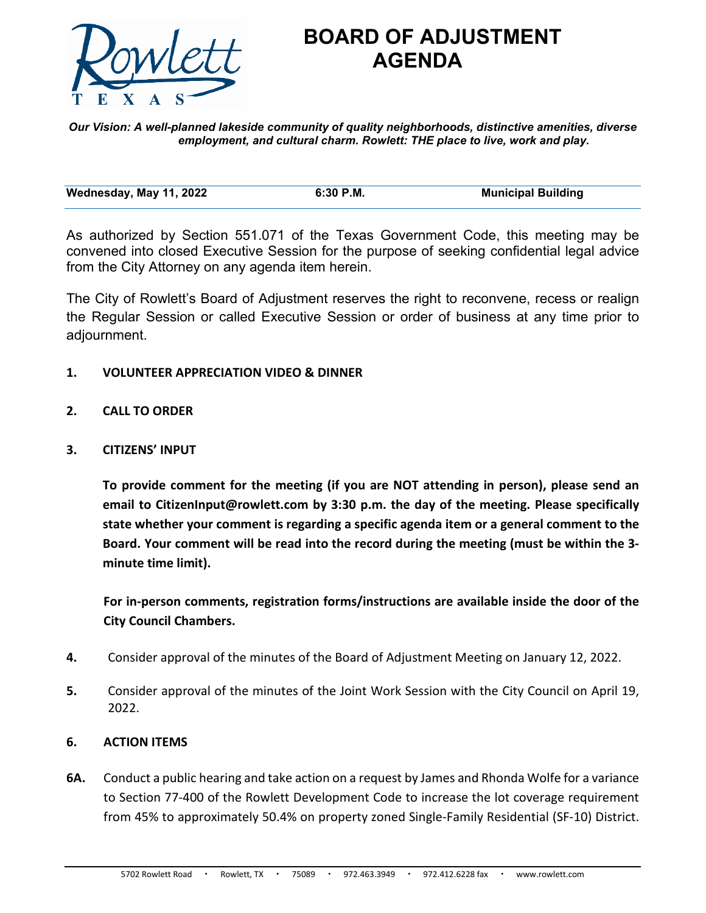

## **BOARD OF ADJUSTMENT AGENDA**

*Our Vision: A well-planned lakeside community of quality neighborhoods, distinctive amenities, diverse employment, and cultural charm. Rowlett: THE place to live, work and play.*

| Wednesday, May 11, 2022 | 6:30 P.M. | <b>Municipal Building</b> |
|-------------------------|-----------|---------------------------|
|                         |           |                           |

As authorized by Section 551.071 of the Texas Government Code, this meeting may be convened into closed Executive Session for the purpose of seeking confidential legal advice from the City Attorney on any agenda item herein.

The City of Rowlett's Board of Adjustment reserves the right to reconvene, recess or realign the Regular Session or called Executive Session or order of business at any time prior to adjournment.

## **1. VOLUNTEER APPRECIATION VIDEO & DINNER**

- **2. CALL TO ORDER**
- **3. CITIZENS' INPUT**

**To provide comment for the meeting (if you are NOT attending in person), please send an email to CitizenInput@rowlett.com by 3:30 p.m. the day of the meeting. Please specifically state whether your comment is regarding a specific agenda item or a general comment to the Board. Your comment will be read into the record during the meeting (must be within the 3 minute time limit).** 

**For in-person comments, registration forms/instructions are available inside the door of the City Council Chambers.**

- **4.** Consider approval of the minutes of the Board of Adjustment Meeting on January 12, 2022.
- **5.** Consider approval of the minutes of the Joint Work Session with the City Council on April 19, 2022.

## **6. ACTION ITEMS**

**6A.** Conduct a public hearing and take action on a request by James and Rhonda Wolfe for a variance to Section 77-400 of the Rowlett Development Code to increase the lot coverage requirement from 45% to approximately 50.4% on property zoned Single-Family Residential (SF-10) District.